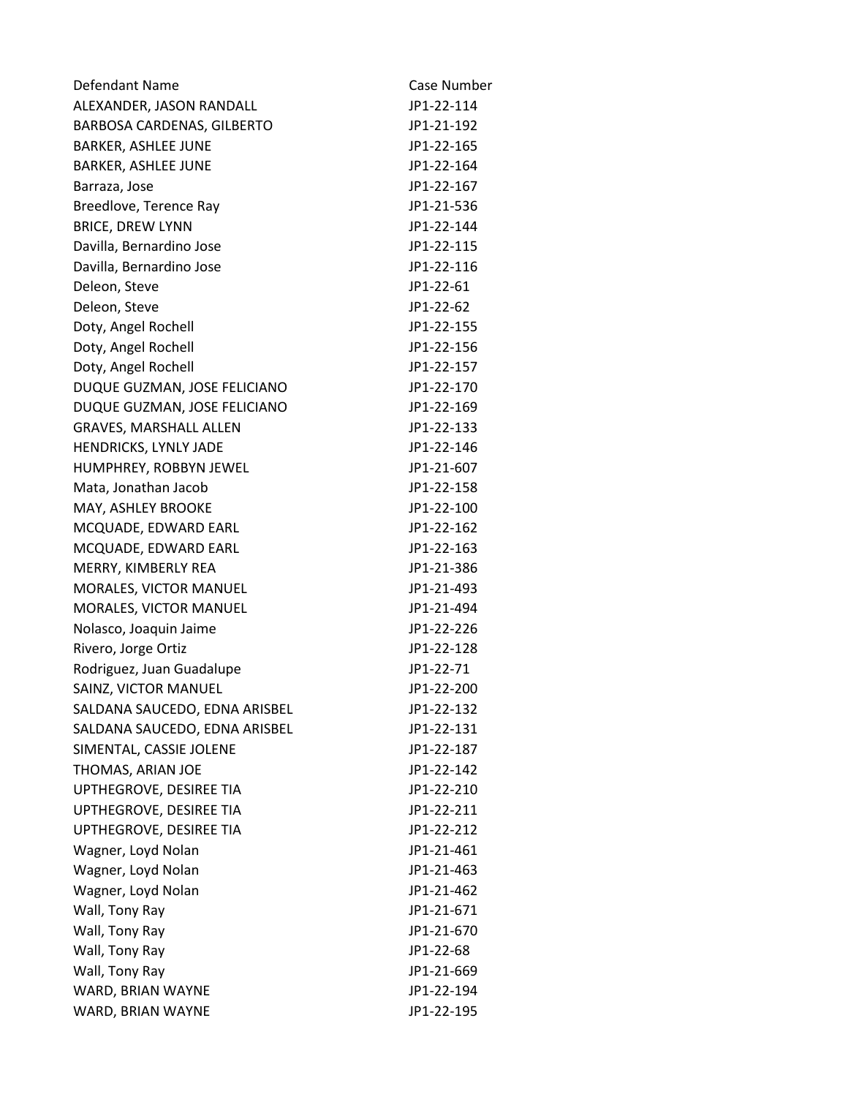| Defendant Name                | Case Number |
|-------------------------------|-------------|
| ALEXANDER, JASON RANDALL      | JP1-22-114  |
| BARBOSA CARDENAS, GILBERTO    | JP1-21-192  |
| <b>BARKER, ASHLEE JUNE</b>    | JP1-22-165  |
| <b>BARKER, ASHLEE JUNE</b>    | JP1-22-164  |
| Barraza, Jose                 | JP1-22-167  |
| Breedlove, Terence Ray        | JP1-21-536  |
| <b>BRICE, DREW LYNN</b>       | JP1-22-144  |
| Davilla, Bernardino Jose      | JP1-22-115  |
| Davilla, Bernardino Jose      | JP1-22-116  |
| Deleon, Steve                 | JP1-22-61   |
| Deleon, Steve                 | JP1-22-62   |
| Doty, Angel Rochell           | JP1-22-155  |
| Doty, Angel Rochell           | JP1-22-156  |
| Doty, Angel Rochell           | JP1-22-157  |
| DUQUE GUZMAN, JOSE FELICIANO  | JP1-22-170  |
| DUQUE GUZMAN, JOSE FELICIANO  | JP1-22-169  |
| <b>GRAVES, MARSHALL ALLEN</b> | JP1-22-133  |
| HENDRICKS, LYNLY JADE         | JP1-22-146  |
| HUMPHREY, ROBBYN JEWEL        | JP1-21-607  |
| Mata, Jonathan Jacob          | JP1-22-158  |
| MAY, ASHLEY BROOKE            | JP1-22-100  |
| MCQUADE, EDWARD EARL          | JP1-22-162  |
| MCQUADE, EDWARD EARL          | JP1-22-163  |
| MERRY, KIMBERLY REA           | JP1-21-386  |
| MORALES, VICTOR MANUEL        | JP1-21-493  |
| MORALES, VICTOR MANUEL        | JP1-21-494  |
| Nolasco, Joaquin Jaime        | JP1-22-226  |
| Rivero, Jorge Ortiz           | JP1-22-128  |
| Rodriguez, Juan Guadalupe     | JP1-22-71   |
| SAINZ, VICTOR MANUEL          | JP1-22-200  |
| SALDANA SAUCEDO, EDNA ARISBEL | JP1-22-132  |
| SALDANA SAUCEDO, EDNA ARISBEL | JP1-22-131  |
| SIMENTAL, CASSIE JOLENE       | JP1-22-187  |
| THOMAS, ARIAN JOE             | JP1-22-142  |
| UPTHEGROVE, DESIREE TIA       | JP1-22-210  |
| UPTHEGROVE, DESIREE TIA       | JP1-22-211  |
| UPTHEGROVE, DESIREE TIA       | JP1-22-212  |
| Wagner, Loyd Nolan            | JP1-21-461  |
| Wagner, Loyd Nolan            | JP1-21-463  |
| Wagner, Loyd Nolan            | JP1-21-462  |
| Wall, Tony Ray                | JP1-21-671  |
| Wall, Tony Ray                | JP1-21-670  |
| Wall, Tony Ray                | JP1-22-68   |
| Wall, Tony Ray                | JP1-21-669  |
| WARD, BRIAN WAYNE             | JP1-22-194  |
| WARD, BRIAN WAYNE             | JP1-22-195  |